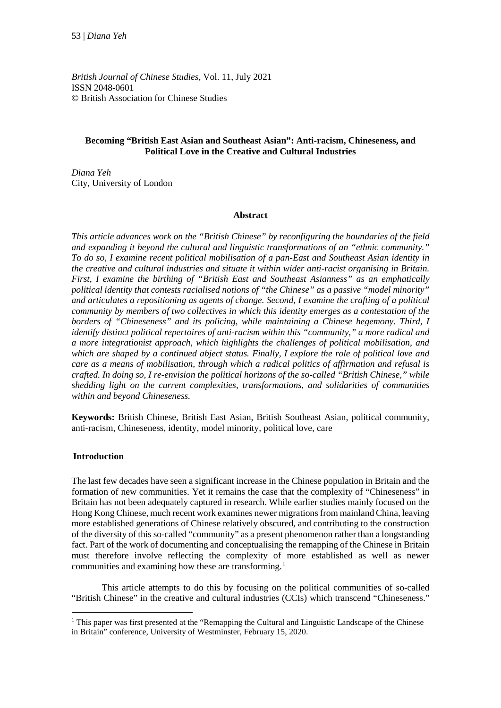*British Journal of Chinese Studies*, Vol. 11, July 2021 ISSN 2048-0601 © British Association for Chinese Studies

# **Becoming "British East Asian and Southeast Asian": Anti-racism, Chineseness, and Political Love in the Creative and Cultural Industries**

*Diana Yeh*  City, University of London

## **Abstract**

*This article advances work on the "British Chinese" by reconfiguring the boundaries of the field and expanding it beyond the cultural and linguistic transformations of an "ethnic community." To do so, I examine recent political mobilisation of a pan-East and Southeast Asian identity in the creative and cultural industries and situate it within wider anti-racist organising in Britain. First, I examine the birthing of "British East and Southeast Asianness" as an emphatically political identity that contests racialised notions of "the Chinese" as a passive "model minority" and articulates a repositioning as agents of change. Second, I examine the crafting of a political community by members of two collectives in which this identity emerges as a contestation of the borders of "Chineseness" and its policing, while maintaining a Chinese hegemony. Third, I identify distinct political repertoires of anti-racism within this "community," a more radical and a more integrationist approach, which highlights the challenges of political mobilisation, and which are shaped by a continued abject status. Finally, I explore the role of political love and care as a means of mobilisation, through which a radical politics of affirmation and refusal is crafted. In doing so, I re-envision the political horizons of the so-called "British Chinese," while shedding light on the current complexities, transformations, and solidarities of communities within and beyond Chineseness.* 

**Keywords:** British Chinese, British East Asian, British Southeast Asian, political community, anti-racism, Chineseness, identity, model minority, political love, care

## **Introduction**

The last few decades have seen a significant increase in the Chinese population in Britain and the formation of new communities. Yet it remains the case that the complexity of "Chineseness" in Britain has not been adequately captured in research. While earlier studies mainly focused on the Hong Kong Chinese, much recent work examines newer migrations from mainland China, leaving more established generations of Chinese relatively obscured, and contributing to the construction of the diversity of this so-called "community" as a present phenomenon rather than a longstanding fact. Part of the work of documenting and conceptualising the remapping of the Chinese in Britain must therefore involve reflecting the complexity of more established as well as newer communities and examining how these are transforming.<sup>1</sup>

This article attempts to do this by focusing on the political communities of so-called "British Chinese" in the creative and cultural industries (CCIs) which transcend "Chineseness."

 $1$  This paper was first presented at the "Remapping the Cultural and Linguistic Landscape of the Chinese in Britain" conference, University of Westminster, February 15, 2020.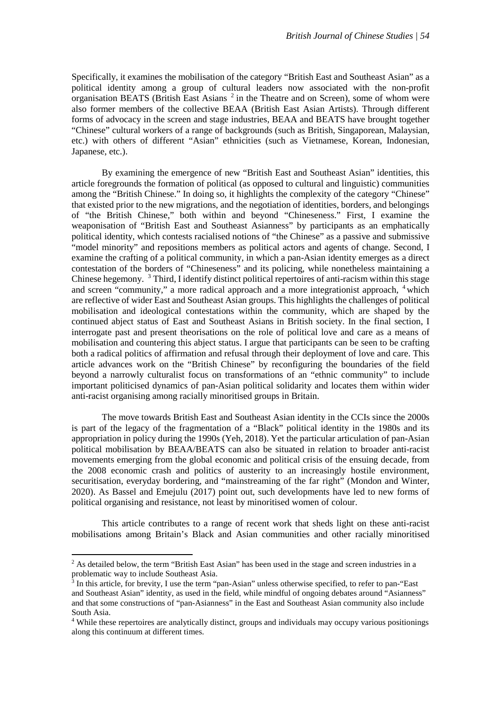Specifically, it examines the mobilisation of the category "British East and Southeast Asian" as a political identity among a group of cultural leaders now associated with the non-profit organisation BEATS (British East Asians<sup>[2](#page-1-0)</sup> in the Theatre and on Screen), some of whom were also former members of the collective BEAA (British East Asian Artists). Through different forms of advocacy in the screen and stage industries, BEAA and BEATS have brought together "Chinese" cultural workers of a range of backgrounds (such as British, Singaporean, Malaysian, etc.) with others of different "Asian" ethnicities (such as Vietnamese, Korean, Indonesian, Japanese, etc.).

By examining the emergence of new "British East and Southeast Asian" identities, this article foregrounds the formation of political (as opposed to cultural and linguistic) communities among the "British Chinese." In doing so, it highlights the complexity of the category "Chinese" that existed prior to the new migrations, and the negotiation of identities, borders, and belongings of "the British Chinese," both within and beyond "Chineseness." First, I examine the weaponisation of "British East and Southeast Asianness" by participants as an emphatically political identity, which contests racialised notions of "the Chinese" as a passive and submissive "model minority" and repositions members as political actors and agents of change. Second, I examine the crafting of a political community, in which a pan-Asian identity emerges as a direct contestation of the borders of "Chineseness" and its policing, while nonetheless maintaining a Chinese hegemony. [3](#page-1-1) Third, I identify distinct political repertoires of anti-racism within this stage and screen "community," a more radical approach and a more integrationist approach, <sup>[4](#page-1-2)</sup> which are reflective of wider East and Southeast Asian groups. This highlights the challenges of political mobilisation and ideological contestations within the community, which are shaped by the continued abject status of East and Southeast Asians in British society. In the final section, I interrogate past and present theorisations on the role of political love and care as a means of mobilisation and countering this abject status. I argue that participants can be seen to be crafting both a radical politics of affirmation and refusal through their deployment of love and care. This article advances work on the "British Chinese" by reconfiguring the boundaries of the field beyond a narrowly culturalist focus on transformations of an "ethnic community" to include important politicised dynamics of pan-Asian political solidarity and locates them within wider anti-racist organising among racially minoritised groups in Britain.

The move towards British East and Southeast Asian identity in the CCIs since the 2000s is part of the legacy of the fragmentation of a "Black" political identity in the 1980s and its appropriation in policy during the 1990s (Yeh, 2018). Yet the particular articulation of pan-Asian political mobilisation by BEAA/BEATS can also be situated in relation to broader anti-racist movements emerging from the global economic and political crisis of the ensuing decade, from the 2008 economic crash and politics of austerity to an increasingly hostile environment, securitisation, everyday bordering, and "mainstreaming of the far right" (Mondon and Winter, 2020). As Bassel and Emejulu (2017) point out, such developments have led to new forms of political organising and resistance, not least by minoritised women of colour.

This article contributes to a range of recent work that sheds light on these anti-racist mobilisations among Britain's Black and Asian communities and other racially minoritised

**.** 

<span id="page-1-0"></span> $<sup>2</sup>$  As detailed below, the term "British East Asian" has been used in the stage and screen industries in a</sup> problematic way to include Southeast Asia.

<span id="page-1-1"></span> $3$  In this article, for brevity, I use the term "pan-Asian" unless otherwise specified, to refer to pan-"East and Southeast Asian" identity, as used in the field, while mindful of ongoing debates around "Asianness" and that some constructions of "pan-Asianness" in the East and Southeast Asian community also include South Asia.

<span id="page-1-2"></span><sup>4</sup> While these repertoires are analytically distinct, groups and individuals may occupy various positionings along this continuum at different times.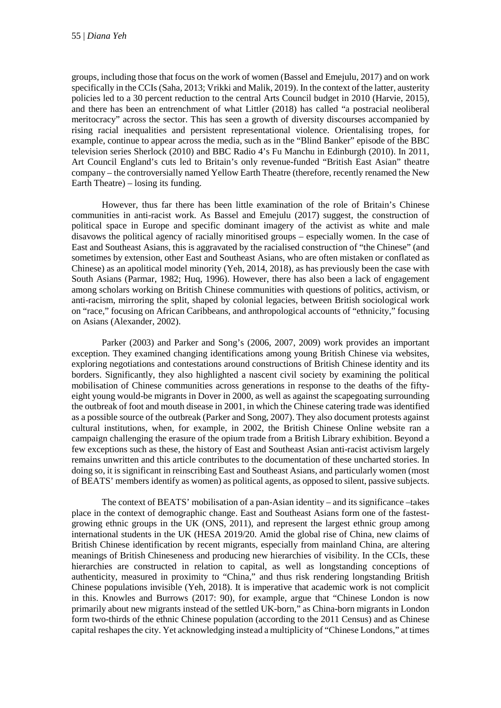groups, including those that focus on the work of women (Bassel and Emejulu, 2017) and on work specifically in the CCIs (Saha, 2013; Vrikki and Malik, 2019). In the context of the latter, austerity policies led to a 30 percent reduction to the central Arts Council budget in 2010 (Harvie, 2015), and there has been an entrenchment of what Littler (2018) has called "a postracial neoliberal meritocracy" across the sector. This has seen a growth of diversity discourses accompanied by rising racial inequalities and persistent representational violence. Orientalising tropes, for example, continue to appear across the media, such as in the "Blind Banker" episode of the BBC television series Sherlock (2010) and BBC Radio 4's Fu Manchu in Edinburgh (2010). In 2011, Art Council England's cuts led to Britain's only revenue-funded "British East Asian" theatre company – the controversially named Yellow Earth Theatre (therefore, recently renamed the New Earth Theatre) – losing its funding.

However, thus far there has been little examination of the role of Britain's Chinese communities in anti-racist work. As Bassel and Emejulu (2017) suggest, the construction of political space in Europe and specific dominant imagery of the activist as white and male disavows the political agency of racially minoritised groups – especially women. In the case of East and Southeast Asians, this is aggravated by the racialised construction of "the Chinese" (and sometimes by extension, other East and Southeast Asians, who are often mistaken or conflated as Chinese) as an apolitical model minority (Yeh, 2014, 2018), as has previously been the case with South Asians (Parmar, 1982; Huq, 1996). However, there has also been a lack of engagement among scholars working on British Chinese communities with questions of politics, activism, or anti-racism, mirroring the split, shaped by colonial legacies, between British sociological work on "race," focusing on African Caribbeans, and anthropological accounts of "ethnicity," focusing on Asians (Alexander, 2002).

Parker (2003) and Parker and Song's (2006, 2007, 2009) work provides an important exception. They examined changing identifications among young British Chinese via websites, exploring negotiations and contestations around constructions of British Chinese identity and its borders. Significantly, they also highlighted a nascent civil society by examining the political mobilisation of Chinese communities across generations in response to the deaths of the fiftyeight young would-be migrants in Dover in 2000, as well as against the scapegoating surrounding the outbreak of foot and mouth disease in 2001, in which the Chinese catering trade was identified as a possible source of the outbreak (Parker and Song, 2007). They also document protests against cultural institutions, when, for example, in 2002, the British Chinese Online website ran a campaign challenging the erasure of the opium trade from a British Library exhibition. Beyond a few exceptions such as these, the history of East and Southeast Asian anti-racist activism largely remains unwritten and this article contributes to the documentation of these uncharted stories. In doing so, it is significant in reinscribing East and Southeast Asians, and particularly women (most of BEATS' members identify as women) as political agents, as opposed to silent, passive subjects.

The context of BEATS' mobilisation of a pan-Asian identity – and its significance –takes place in the context of demographic change. East and Southeast Asians form one of the fastestgrowing ethnic groups in the UK (ONS, 2011), and represent the largest ethnic group among international students in the UK (HESA 2019/20. Amid the global rise of China, new claims of British Chinese identification by recent migrants, especially from mainland China, are altering meanings of British Chineseness and producing new hierarchies of visibility. In the CCIs, these hierarchies are constructed in relation to capital, as well as longstanding conceptions of authenticity, measured in proximity to "China," and thus risk rendering longstanding British Chinese populations invisible (Yeh, 2018). It is imperative that academic work is not complicit in this. Knowles and Burrows (2017: 90), for example, argue that "Chinese London is now primarily about new migrants instead of the settled UK-born," as China-born migrants in London form two-thirds of the ethnic Chinese population (according to the 2011 Census) and as Chinese capital reshapes the city. Yet acknowledging instead a multiplicity of "Chinese Londons," at times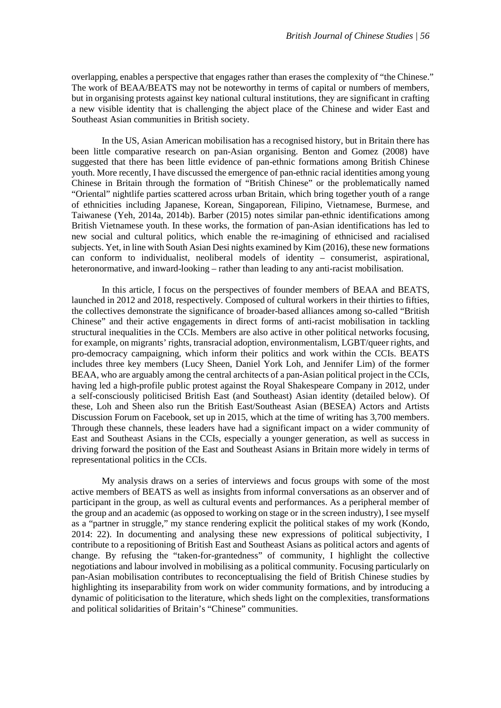overlapping, enables a perspective that engages rather than erases the complexity of "the Chinese." The work of BEAA/BEATS may not be noteworthy in terms of capital or numbers of members, but in organising protests against key national cultural institutions, they are significant in crafting a new visible identity that is challenging the abject place of the Chinese and wider East and Southeast Asian communities in British society.

In the US, Asian American mobilisation has a recognised history, but in Britain there has been little comparative research on pan-Asian organising. Benton and Gomez (2008) have suggested that there has been little evidence of pan-ethnic formations among British Chinese youth. More recently, I have discussed the emergence of pan-ethnic racial identities among young Chinese in Britain through the formation of "British Chinese" or the problematically named "Oriental" nightlife parties scattered across urban Britain, which bring together youth of a range of ethnicities including Japanese, Korean, Singaporean, Filipino, Vietnamese, Burmese, and Taiwanese (Yeh, 2014a, 2014b). Barber (2015) notes similar pan-ethnic identifications among British Vietnamese youth. In these works, the formation of pan-Asian identifications has led to new social and cultural politics, which enable the re-imagining of ethnicised and racialised subjects. Yet, in line with South Asian Desi nights examined by Kim (2016), these new formations can conform to individualist, neoliberal models of identity – consumerist, aspirational, heteronormative, and inward-looking – rather than leading to any anti-racist mobilisation.

In this article, I focus on the perspectives of founder members of BEAA and BEATS, launched in 2012 and 2018, respectively. Composed of cultural workers in their thirties to fifties, the collectives demonstrate the significance of broader-based alliances among so-called "British Chinese" and their active engagements in direct forms of anti-racist mobilisation in tackling structural inequalities in the CCIs. Members are also active in other political networks focusing, for example, on migrants' rights, transracial adoption, environmentalism, LGBT/queer rights, and pro-democracy campaigning, which inform their politics and work within the CCIs. BEATS includes three key members (Lucy Sheen, Daniel York Loh, and Jennifer Lim) of the former BEAA, who are arguably among the central architects of a pan-Asian political project in the CCIs, having led a high-profile public protest against the Royal Shakespeare Company in 2012, under a self-consciously politicised British East (and Southeast) Asian identity (detailed below). Of these, Loh and Sheen also run the British East/Southeast Asian (BESEA) Actors and Artists Discussion Forum on Facebook, set up in 2015, which at the time of writing has 3,700 members. Through these channels, these leaders have had a significant impact on a wider community of East and Southeast Asians in the CCIs, especially a younger generation, as well as success in driving forward the position of the East and Southeast Asians in Britain more widely in terms of representational politics in the CCIs.

My analysis draws on a series of interviews and focus groups with some of the most active members of BEATS as well as insights from informal conversations as an observer and of participant in the group, as well as cultural events and performances. As a peripheral member of the group and an academic (as opposed to working on stage or in the screen industry), I see myself as a "partner in struggle," my stance rendering explicit the political stakes of my work (Kondo, 2014: 22). In documenting and analysing these new expressions of political subjectivity, I contribute to a repositioning of British East and Southeast Asians as political actors and agents of change. By refusing the "taken-for-grantedness" of community, I highlight the collective negotiations and labour involved in mobilising as a political community. Focusing particularly on pan-Asian mobilisation contributes to reconceptualising the field of British Chinese studies by highlighting its inseparability from work on wider community formations, and by introducing a dynamic of politicisation to the literature, which sheds light on the complexities, transformations and political solidarities of Britain's "Chinese" communities.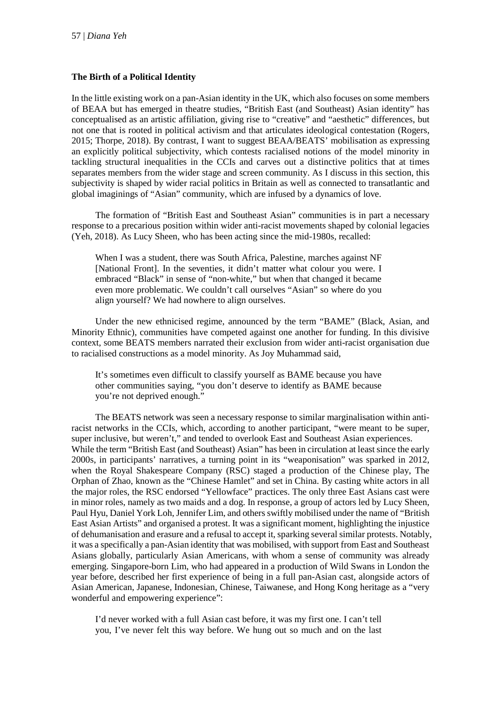### **The Birth of a Political Identity**

In the little existing work on a pan-Asian identity in the UK, which also focuses on some members of BEAA but has emerged in theatre studies, "British East (and Southeast) Asian identity" has conceptualised as an artistic affiliation, giving rise to "creative" and "aesthetic" differences, but not one that is rooted in political activism and that articulates ideological contestation (Rogers, 2015; Thorpe, 2018). By contrast, I want to suggest BEAA/BEATS' mobilisation as expressing an explicitly political subjectivity, which contests racialised notions of the model minority in tackling structural inequalities in the CCIs and carves out a distinctive politics that at times separates members from the wider stage and screen community. As I discuss in this section, this subjectivity is shaped by wider racial politics in Britain as well as connected to transatlantic and global imaginings of "Asian" community, which are infused by a dynamics of love.

The formation of "British East and Southeast Asian" communities is in part a necessary response to a precarious position within wider anti-racist movements shaped by colonial legacies (Yeh, 2018). As Lucy Sheen, who has been acting since the mid-1980s, recalled:

When I was a student, there was South Africa, Palestine, marches against NF [National Front]. In the seventies, it didn't matter what colour you were. I embraced "Black" in sense of "non-white," but when that changed it became even more problematic. We couldn't call ourselves "Asian" so where do you align yourself? We had nowhere to align ourselves.

Under the new ethnicised regime, announced by the term "BAME" (Black, Asian, and Minority Ethnic), communities have competed against one another for funding. In this divisive context, some BEATS members narrated their exclusion from wider anti-racist organisation due to racialised constructions as a model minority. As Joy Muhammad said,

It's sometimes even difficult to classify yourself as BAME because you have other communities saying, "you don't deserve to identify as BAME because you're not deprived enough."

The BEATS network was seen a necessary response to similar marginalisation within antiracist networks in the CCIs, which, according to another participant, "were meant to be super, super inclusive, but weren't," and tended to overlook East and Southeast Asian experiences. While the term "British East (and Southeast) Asian" has been in circulation at least since the early 2000s, in participants' narratives, a turning point in its "weaponisation" was sparked in 2012, when the Royal Shakespeare Company (RSC) staged a production of the Chinese play, The Orphan of Zhao, known as the "Chinese Hamlet" and set in China. By casting white actors in all the major roles, the RSC endorsed "Yellowface" practices. The only three East Asians cast were in minor roles, namely as two maids and a dog. In response, a group of actors led by Lucy Sheen, Paul Hyu, Daniel York Loh, Jennifer Lim, and others swiftly mobilised under the name of "British East Asian Artists" and organised a protest. It was a significant moment, highlighting the injustice of dehumanisation and erasure and a refusal to accept it, sparking several similar protests. Notably, it was a specifically a pan-Asian identity that was mobilised, with support from East and Southeast Asians globally, particularly Asian Americans, with whom a sense of community was already emerging. Singapore-born Lim, who had appeared in a production of Wild Swans in London the year before, described her first experience of being in a full pan-Asian cast, alongside actors of Asian American, Japanese, Indonesian, Chinese, Taiwanese, and Hong Kong heritage as a "very wonderful and empowering experience":

I'd never worked with a full Asian cast before, it was my first one. I can't tell you, I've never felt this way before. We hung out so much and on the last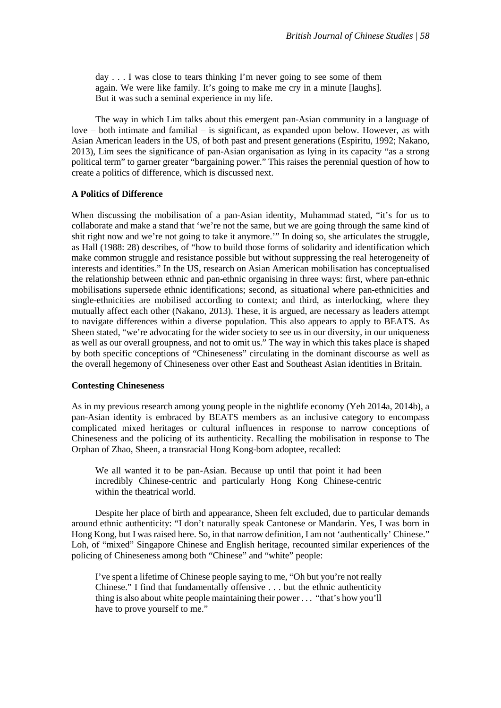day . . . I was close to tears thinking I'm never going to see some of them again. We were like family. It's going to make me cry in a minute [laughs]. But it was such a seminal experience in my life.

The way in which Lim talks about this emergent pan-Asian community in a language of  $love - both intimate and familiar - is significant, as expanded upon below. However, as with$ Asian American leaders in the US, of both past and present generations (Espiritu, 1992; Nakano, 2013), Lim sees the significance of pan-Asian organisation as lying in its capacity "as a strong political term" to garner greater "bargaining power." This raises the perennial question of how to create a politics of difference, which is discussed next.

### **A Politics of Difference**

When discussing the mobilisation of a pan-Asian identity, Muhammad stated, "it's for us to collaborate and make a stand that 'we're not the same, but we are going through the same kind of shit right now and we're not going to take it anymore.'" In doing so, she articulates the struggle, as Hall (1988: 28) describes, of "how to build those forms of solidarity and identification which make common struggle and resistance possible but without suppressing the real heterogeneity of interests and identities." In the US, research on Asian American mobilisation has conceptualised the relationship between ethnic and pan-ethnic organising in three ways: first, where pan-ethnic mobilisations supersede ethnic identifications; second, as situational where pan-ethnicities and single-ethnicities are mobilised according to context; and third, as interlocking, where they mutually affect each other (Nakano, 2013). These, it is argued, are necessary as leaders attempt to navigate differences within a diverse population. This also appears to apply to BEATS. As Sheen stated, "we're advocating for the wider society to see us in our diversity, in our uniqueness as well as our overall groupness, and not to omit us." The way in which this takes place is shaped by both specific conceptions of "Chineseness" circulating in the dominant discourse as well as the overall hegemony of Chineseness over other East and Southeast Asian identities in Britain.

### **Contesting Chineseness**

As in my previous research among young people in the nightlife economy (Yeh 2014a, 2014b), a pan-Asian identity is embraced by BEATS members as an inclusive category to encompass complicated mixed heritages or cultural influences in response to narrow conceptions of Chineseness and the policing of its authenticity. Recalling the mobilisation in response to The Orphan of Zhao, Sheen, a transracial Hong Kong-born adoptee, recalled:

We all wanted it to be pan-Asian. Because up until that point it had been incredibly Chinese-centric and particularly Hong Kong Chinese-centric within the theatrical world.

Despite her place of birth and appearance, Sheen felt excluded, due to particular demands around ethnic authenticity: "I don't naturally speak Cantonese or Mandarin. Yes, I was born in Hong Kong, but I was raised here. So, in that narrow definition, I am not 'authentically' Chinese." Loh, of "mixed" Singapore Chinese and English heritage, recounted similar experiences of the policing of Chineseness among both "Chinese" and "white" people:

I've spent a lifetime of Chinese people saying to me, "Oh but you're not really Chinese." I find that fundamentally offensive . . . but the ethnic authenticity thing is also about white people maintaining their power . . . "that's how you'll have to prove yourself to me."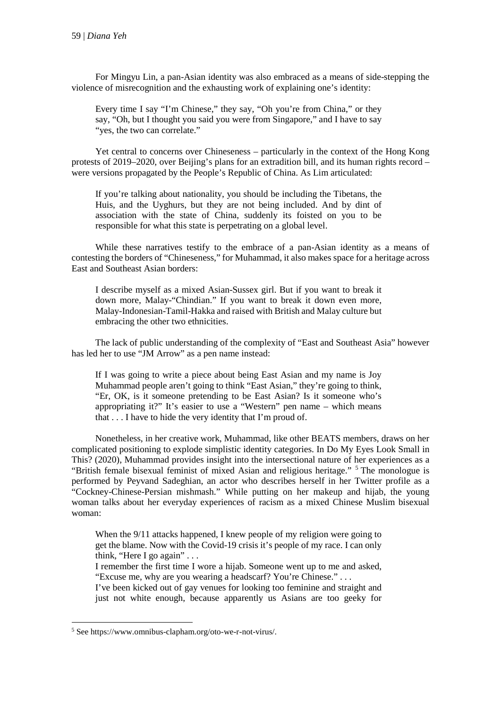For Mingyu Lin, a pan-Asian identity was also embraced as a means of side-stepping the violence of misrecognition and the exhausting work of explaining one's identity:

Every time I say "I'm Chinese," they say, "Oh you're from China," or they say, "Oh, but I thought you said you were from Singapore," and I have to say "yes, the two can correlate."

Yet central to concerns over Chineseness – particularly in the context of the Hong Kong protests of 2019–2020, over Beijing's plans for an extradition bill, and its human rights record – were versions propagated by the People's Republic of China. As Lim articulated:

If you're talking about nationality, you should be including the Tibetans, the Huis, and the Uyghurs, but they are not being included. And by dint of association with the state of China, suddenly its foisted on you to be responsible for what this state is perpetrating on a global level.

While these narratives testify to the embrace of a pan-Asian identity as a means of contesting the borders of "Chineseness," for Muhammad, it also makes space for a heritage across East and Southeast Asian borders:

I describe myself as a mixed Asian-Sussex girl. But if you want to break it down more, Malay-"Chindian." If you want to break it down even more, Malay-Indonesian-Tamil-Hakka and raised with British and Malay culture but embracing the other two ethnicities.

The lack of public understanding of the complexity of "East and Southeast Asia" however has led her to use "JM Arrow" as a pen name instead:

If I was going to write a piece about being East Asian and my name is Joy Muhammad people aren't going to think "East Asian," they're going to think, "Er, OK, is it someone pretending to be East Asian? Is it someone who's appropriating it?" It's easier to use a "Western" pen name – which means that . . . I have to hide the very identity that I'm proud of.

Nonetheless, in her creative work, Muhammad, like other BEATS members, draws on her complicated positioning to explode simplistic identity categories. In Do My Eyes Look Small in This? (2020), Muhammad provides insight into the intersectional nature of her experiences as a "British female bisexual feminist of mixed Asian and religious heritage." <sup>[5](#page-6-0)</sup> The monologue is performed by Peyvand Sadeghian, an actor who describes herself in her Twitter profile as a "Cockney-Chinese-Persian mishmash." While putting on her makeup and hijab, the young woman talks about her everyday experiences of racism as a mixed Chinese Muslim bisexual woman:

When the 9/11 attacks happened, I knew people of my religion were going to get the blame. Now with the Covid-19 crisis it's people of my race. I can only think, "Here I go again" . . .

I remember the first time I wore a hijab. Someone went up to me and asked, "Excuse me, why are you wearing a headscarf? You're Chinese." . . .

I've been kicked out of gay venues for looking too feminine and straight and just not white enough, because apparently us Asians are too geeky for

**.** 

<span id="page-6-0"></span><sup>5</sup> See https://www.omnibus-clapham.org/oto-we-r-not-virus/.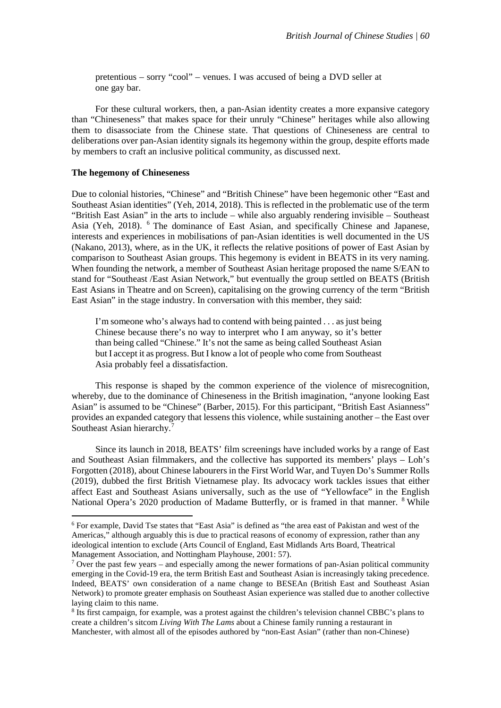pretentious – sorry "cool" – venues. I was accused of being a DVD seller at one gay bar.

For these cultural workers, then, a pan-Asian identity creates a more expansive category than "Chineseness" that makes space for their unruly "Chinese" heritages while also allowing them to disassociate from the Chinese state. That questions of Chineseness are central to deliberations over pan-Asian identity signals its hegemony within the group, despite efforts made by members to craft an inclusive political community, as discussed next.

### **The hegemony of Chineseness**

**.** 

Due to colonial histories, "Chinese" and "British Chinese" have been hegemonic other "East and Southeast Asian identities" (Yeh, 2014, 2018). This is reflected in the problematic use of the term "British East Asian" in the arts to include – while also arguably rendering invisible – Southeast Asia (Yeh, 2018). [6](#page-7-0) The dominance of East Asian, and specifically Chinese and Japanese, interests and experiences in mobilisations of pan-Asian identities is well documented in the US (Nakano, 2013), where, as in the UK, it reflects the relative positions of power of East Asian by comparison to Southeast Asian groups. This hegemony is evident in BEATS in its very naming. When founding the network, a member of Southeast Asian heritage proposed the name S/EAN to stand for "Southeast /East Asian Network," but eventually the group settled on BEATS (British East Asians in Theatre and on Screen), capitalising on the growing currency of the term "British East Asian" in the stage industry. In conversation with this member, they said:

I'm someone who's always had to contend with being painted . . . as just being Chinese because there's no way to interpret who I am anyway, so it's better than being called "Chinese." It's not the same as being called Southeast Asian but I accept it as progress. But I know a lot of people who come from Southeast Asia probably feel a dissatisfaction.

This response is shaped by the common experience of the violence of misrecognition, whereby, due to the dominance of Chineseness in the British imagination, "anyone looking East Asian" is assumed to be "Chinese" (Barber, 2015). For this participant, "British East Asianness" provides an expanded category that lessens this violence, while sustaining another – the East over Southeast Asian hierarchy.<sup>[7](#page-7-1)</sup>

Since its launch in 2018, BEATS' film screenings have included works by a range of East and Southeast Asian filmmakers, and the collective has supported its members' plays – Loh's Forgotten (2018), about Chinese labourers in the First World War, and Tuyen Do's Summer Rolls (2019), dubbed the first British Vietnamese play. Its advocacy work tackles issues that either affect East and Southeast Asians universally, such as the use of "Yellowface" in the English National Opera's 2020 production of Madame Butterfly, or is framed in that manner. <sup>[8](#page-7-2)</sup> While

<span id="page-7-0"></span><sup>6</sup> For example, David Tse states that "East Asia" is defined as "the area east of Pakistan and west of the Americas," although arguably this is due to practical reasons of economy of expression, rather than any ideological intention to exclude (Arts Council of England, East Midlands Arts Board, Theatrical Management Association, and Nottingham Playhouse, 2001: 57).

<span id="page-7-1"></span> $7$  Over the past few years – and especially among the newer formations of pan-Asian political community emerging in the Covid-19 era, the term British East and Southeast Asian is increasingly taking precedence. Indeed, BEATS' own consideration of a name change to BESEAn (British East and Southeast Asian Network) to promote greater emphasis on Southeast Asian experience was stalled due to another collective laying claim to this name.

<span id="page-7-2"></span><sup>8</sup> Its first campaign, for example, was a protest against the children's television channel CBBC's plans to create a children's sitcom *Living With The Lams* about a Chinese family running a restaurant in Manchester, with almost all of the episodes authored by "non-East Asian" (rather than non-Chinese)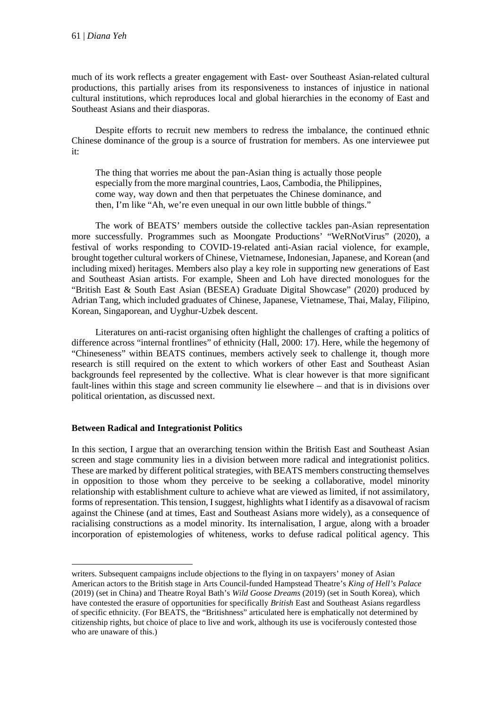much of its work reflects a greater engagement with East- over Southeast Asian-related cultural productions, this partially arises from its responsiveness to instances of injustice in national cultural institutions, which reproduces local and global hierarchies in the economy of East and Southeast Asians and their diasporas.

Despite efforts to recruit new members to redress the imbalance, the continued ethnic Chinese dominance of the group is a source of frustration for members. As one interviewee put it:

The thing that worries me about the pan-Asian thing is actually those people especially from the more marginal countries, Laos, Cambodia, the Philippines, come way, way down and then that perpetuates the Chinese dominance, and then, I'm like "Ah, we're even unequal in our own little bubble of things."

The work of BEATS' members outside the collective tackles pan-Asian representation more successfully. Programmes such as Moongate Productions' "WeRNotVirus" (2020), a festival of works responding to COVID-19-related anti-Asian racial violence, for example, brought together cultural workers of Chinese, Vietnamese, Indonesian, Japanese, and Korean (and including mixed) heritages. Members also play a key role in supporting new generations of East and Southeast Asian artists. For example, Sheen and Loh have directed monologues for the "British East & South East Asian (BESEA) Graduate Digital Showcase" (2020) produced by Adrian Tang, which included graduates of Chinese, Japanese, Vietnamese, Thai, Malay, Filipino, Korean, Singaporean, and Uyghur-Uzbek descent.

Literatures on anti-racist organising often highlight the challenges of crafting a politics of difference across "internal frontlines" of ethnicity (Hall, 2000: 17). Here, while the hegemony of "Chineseness" within BEATS continues, members actively seek to challenge it, though more research is still required on the extent to which workers of other East and Southeast Asian backgrounds feel represented by the collective. What is clear however is that more significant fault-lines within this stage and screen community lie elsewhere – and that is in divisions over political orientation, as discussed next.

# **Between Radical and Integrationist Politics**

**.** 

In this section, I argue that an overarching tension within the British East and Southeast Asian screen and stage community lies in a division between more radical and integrationist politics. These are marked by different political strategies, with BEATS members constructing themselves in opposition to those whom they perceive to be seeking a collaborative, model minority relationship with establishment culture to achieve what are viewed as limited, if not assimilatory, forms of representation. This tension, I suggest, highlights what I identify as a disavowal of racism against the Chinese (and at times, East and Southeast Asians more widely), as a consequence of racialising constructions as a model minority. Its internalisation, I argue, along with a broader incorporation of epistemologies of whiteness, works to defuse radical political agency. This

writers. Subsequent campaigns include objections to the flying in on taxpayers' money of Asian American actors to the British stage in Arts Council-funded Hampstead Theatre's *King of Hell's Palace*  (2019) (set in China) and Theatre Royal Bath's *Wild Goose Dreams* (2019) (set in South Korea), which have contested the erasure of opportunities for specifically *British* East and Southeast Asians regardless of specific ethnicity. (For BEATS, the "Britishness" articulated here is emphatically not determined by citizenship rights, but choice of place to live and work, although its use is vociferously contested those who are unaware of this.)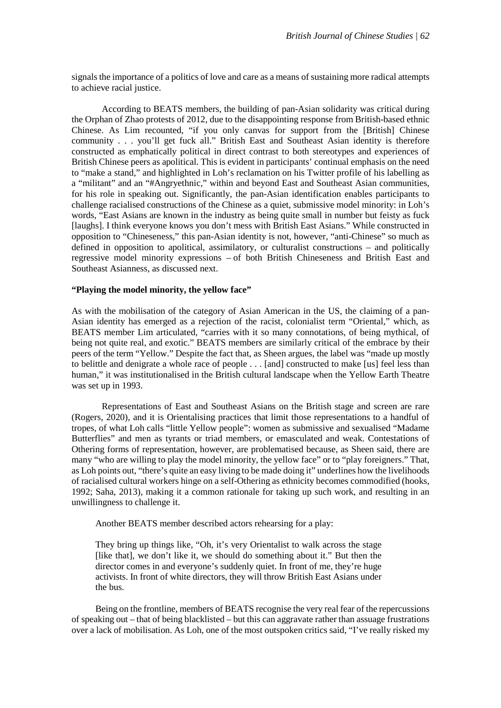signals the importance of a politics of love and care as a means of sustaining more radical attempts to achieve racial justice.

According to BEATS members, the building of pan-Asian solidarity was critical during the Orphan of Zhao protests of 2012, due to the disappointing response from British-based ethnic Chinese. As Lim recounted, "if you only canvas for support from the [British] Chinese community . . . you'll get fuck all." British East and Southeast Asian identity is therefore constructed as emphatically political in direct contrast to both stereotypes and experiences of British Chinese peers as apolitical. This is evident in participants' continual emphasis on the need to "make a stand," and highlighted in Loh's reclamation on his Twitter profile of his labelling as a "militant" and an "#Angryethnic," within and beyond East and Southeast Asian communities, for his role in speaking out. Significantly, the pan-Asian identification enables participants to challenge racialised constructions of the Chinese as a quiet, submissive model minority: in Loh's words, "East Asians are known in the industry as being quite small in number but feisty as fuck [laughs]. I think everyone knows you don't mess with British East Asians." While constructed in opposition to "Chineseness," this pan-Asian identity is not, however, "anti-Chinese" so much as defined in opposition to apolitical, assimilatory, or culturalist constructions – and politically regressive model minority expressions – of both British Chineseness and British East and Southeast Asianness, as discussed next.

#### **"Playing the model minority, the yellow face"**

As with the mobilisation of the category of Asian American in the US, the claiming of a pan-Asian identity has emerged as a rejection of the racist, colonialist term "Oriental," which, as BEATS member Lim articulated, "carries with it so many connotations, of being mythical, of being not quite real, and exotic." BEATS members are similarly critical of the embrace by their peers of the term "Yellow." Despite the fact that, as Sheen argues, the label was "made up mostly to belittle and denigrate a whole race of people . . . [and] constructed to make [us] feel less than human," it was institutionalised in the British cultural landscape when the Yellow Earth Theatre was set up in 1993.

Representations of East and Southeast Asians on the British stage and screen are rare (Rogers, 2020), and it is Orientalising practices that limit those representations to a handful of tropes, of what Loh calls "little Yellow people": women as submissive and sexualised "Madame Butterflies" and men as tyrants or triad members, or emasculated and weak. Contestations of Othering forms of representation, however, are problematised because, as Sheen said, there are many "who are willing to play the model minority, the yellow face" or to "play foreigners." That, as Loh points out, "there's quite an easy living to be made doing it" underlines how the livelihoods of racialised cultural workers hinge on a self-Othering as ethnicity becomes commodified (hooks, 1992; Saha, 2013), making it a common rationale for taking up such work, and resulting in an unwillingness to challenge it.

Another BEATS member described actors rehearsing for a play:

They bring up things like, "Oh, it's very Orientalist to walk across the stage [like that], we don't like it, we should do something about it." But then the director comes in and everyone's suddenly quiet. In front of me, they're huge activists. In front of white directors, they will throw British East Asians under the bus.

Being on the frontline, members of BEATS recognise the very real fear of the repercussions of speaking out – that of being blacklisted – but this can aggravate rather than assuage frustrations over a lack of mobilisation. As Loh, one of the most outspoken critics said, "I've really risked my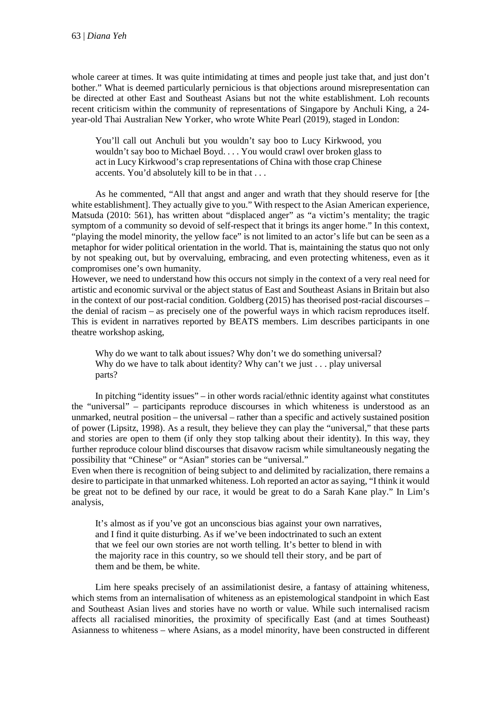whole career at times. It was quite intimidating at times and people just take that, and just don't bother." What is deemed particularly pernicious is that objections around misrepresentation can be directed at other East and Southeast Asians but not the white establishment. Loh recounts recent criticism within the community of representations of Singapore by Anchuli King, a 24 year-old Thai Australian New Yorker, who wrote White Pearl (2019), staged in London:

You'll call out Anchuli but you wouldn't say boo to Lucy Kirkwood, you wouldn't say boo to Michael Boyd. . . . You would crawl over broken glass to act in Lucy Kirkwood's crap representations of China with those crap Chinese accents. You'd absolutely kill to be in that . . .

As he commented, "All that angst and anger and wrath that they should reserve for [the white establishment]. They actually give to you." With respect to the Asian American experience, Matsuda (2010: 561), has written about "displaced anger" as "a victim's mentality; the tragic symptom of a community so devoid of self-respect that it brings its anger home." In this context, "playing the model minority, the yellow face" is not limited to an actor's life but can be seen as a metaphor for wider political orientation in the world. That is, maintaining the status quo not only by not speaking out, but by overvaluing, embracing, and even protecting whiteness, even as it compromises one's own humanity.

However, we need to understand how this occurs not simply in the context of a very real need for artistic and economic survival or the abject status of East and Southeast Asians in Britain but also in the context of our post-racial condition. Goldberg (2015) has theorised post-racial discourses – the denial of racism – as precisely one of the powerful ways in which racism reproduces itself. This is evident in narratives reported by BEATS members. Lim describes participants in one theatre workshop asking,

Why do we want to talk about issues? Why don't we do something universal? Why do we have to talk about identity? Why can't we just . . . play universal parts?

In pitching "identity issues" – in other words racial/ethnic identity against what constitutes the "universal" – participants reproduce discourses in which whiteness is understood as an unmarked, neutral position – the universal – rather than a specific and actively sustained position of power (Lipsitz, 1998). As a result, they believe they can play the "universal," that these parts and stories are open to them (if only they stop talking about their identity). In this way, they further reproduce colour blind discourses that disavow racism while simultaneously negating the possibility that "Chinese" or "Asian" stories can be "universal."

Even when there is recognition of being subject to and delimited by racialization, there remains a desire to participate in that unmarked whiteness. Loh reported an actor as saying, "I think it would be great not to be defined by our race, it would be great to do a Sarah Kane play." In Lim's analysis,

It's almost as if you've got an unconscious bias against your own narratives, and I find it quite disturbing. As if we've been indoctrinated to such an extent that we feel our own stories are not worth telling. It's better to blend in with the majority race in this country, so we should tell their story, and be part of them and be them, be white.

Lim here speaks precisely of an assimilationist desire, a fantasy of attaining whiteness, which stems from an internalisation of whiteness as an epistemological standpoint in which East and Southeast Asian lives and stories have no worth or value. While such internalised racism affects all racialised minorities, the proximity of specifically East (and at times Southeast) Asianness to whiteness – where Asians, as a model minority, have been constructed in different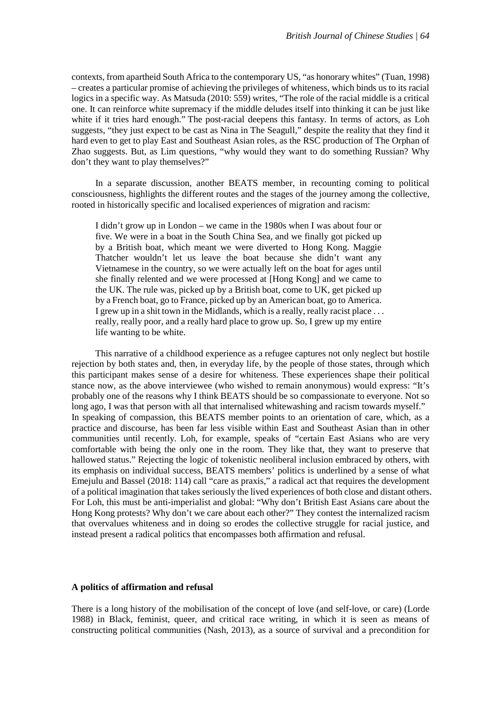contexts, from apartheid South Africa to the contemporary US, "as honorary whites" (Tuan, 1998) – creates a particular promise of achieving the privileges of whiteness, which binds us to its racial logics in a specific way. As Matsuda (2010: 559) writes, "The role of the racial middle is a critical one. It can reinforce white supremacy if the middle deludes itself into thinking it can be just like white if it tries hard enough." The post-racial deepens this fantasy. In terms of actors, as Loh suggests, "they just expect to be cast as Nina in The Seagull," despite the reality that they find it hard even to get to play East and Southeast Asian roles, as the RSC production of The Orphan of Zhao suggests. But, as Lim questions, "why would they want to do something Russian? Why don't they want to play themselves?"

In a separate discussion, another BEATS member, in recounting coming to political consciousness, highlights the different routes and the stages of the journey among the collective, rooted in historically specific and localised experiences of migration and racism:

I didn't grow up in London – we came in the 1980s when I was about four or five. We were in a boat in the South China Sea, and we finally got picked up by a British boat, which meant we were diverted to Hong Kong. Maggie Thatcher wouldn't let us leave the boat because she didn't want any Vietnamese in the country, so we were actually left on the boat for ages until she finally relented and we were processed at [Hong Kong] and we came to the UK. The rule was, picked up by a British boat, come to UK, get picked up by a French boat, go to France, picked up by an American boat, go to America. I grew up in a shit town in the Midlands, which is a really, really racist place . . . really, really poor, and a really hard place to grow up. So, I grew up my entire life wanting to be white.

This narrative of a childhood experience as a refugee captures not only neglect but hostile rejection by both states and, then, in everyday life, by the people of those states, through which this participant makes sense of a desire for whiteness. These experiences shape their political stance now, as the above interviewee (who wished to remain anonymous) would express: "It's probably one of the reasons why I think BEATS should be so compassionate to everyone. Not so long ago, I was that person with all that internalised whitewashing and racism towards myself." In speaking of compassion, this BEATS member points to an orientation of care, which, as a practice and discourse, has been far less visible within East and Southeast Asian than in other communities until recently. Loh, for example, speaks of "certain East Asians who are very comfortable with being the only one in the room. They like that, they want to preserve that hallowed status." Rejecting the logic of tokenistic neoliberal inclusion embraced by others, with its emphasis on individual success, BEATS members' politics is underlined by a sense of what Emejulu and Bassel (2018: 114) call "care as praxis," a radical act that requires the development of a political imagination that takes seriously the lived experiences of both close and distant others. For Loh, this must be anti-imperialist and global: "Why don't British East Asians care about the Hong Kong protests? Why don't we care about each other?" They contest the internalized racism that overvalues whiteness and in doing so erodes the collective struggle for racial justice, and instead present a radical politics that encompasses both affirmation and refusal.

#### **A politics of affirmation and refusal**

There is a long history of the mobilisation of the concept of love (and self-love, or care) (Lorde 1988) in Black, feminist, queer, and critical race writing, in which it is seen as means of constructing political communities (Nash, 2013), as a source of survival and a precondition for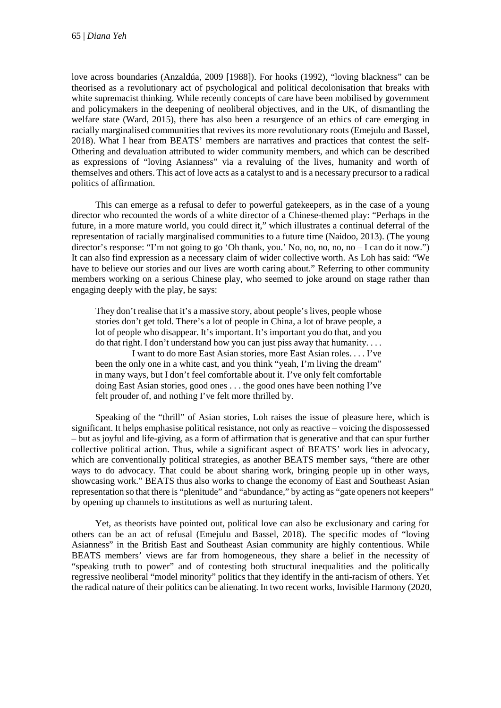love across boundaries (Anzaldúa, 2009 [1988]). For hooks (1992), "loving blackness" can be theorised as a revolutionary act of psychological and political decolonisation that breaks with white supremacist thinking. While recently concepts of care have been mobilised by government and policymakers in the deepening of neoliberal objectives, and in the UK, of dismantling the welfare state (Ward, 2015), there has also been a resurgence of an ethics of care emerging in racially marginalised communities that revives its more revolutionary roots (Emejulu and Bassel, 2018). What I hear from BEATS' members are narratives and practices that contest the self-Othering and devaluation attributed to wider community members, and which can be described as expressions of "loving Asianness" via a revaluing of the lives, humanity and worth of themselves and others. This act of love acts as a catalyst to and is a necessary precursor to a radical politics of affirmation.

This can emerge as a refusal to defer to powerful gatekeepers, as in the case of a young director who recounted the words of a white director of a Chinese-themed play: "Perhaps in the future, in a more mature world, you could direct it," which illustrates a continual deferral of the representation of racially marginalised communities to a future time (Naidoo, 2013). (The young director's response: "I'm not going to go 'Oh thank, you.' No, no, no, no, no – I can do it now.") It can also find expression as a necessary claim of wider collective worth. As Loh has said: "We have to believe our stories and our lives are worth caring about." Referring to other community members working on a serious Chinese play, who seemed to joke around on stage rather than engaging deeply with the play, he says:

They don't realise that it's a massive story, about people's lives, people whose stories don't get told. There's a lot of people in China, a lot of brave people, a lot of people who disappear. It's important. It's important you do that, and you do that right. I don't understand how you can just piss away that humanity. . . .

I want to do more East Asian stories, more East Asian roles. . . . I've been the only one in a white cast, and you think "yeah, I'm living the dream" in many ways, but I don't feel comfortable about it. I've only felt comfortable doing East Asian stories, good ones . . . the good ones have been nothing I've felt prouder of, and nothing I've felt more thrilled by.

Speaking of the "thrill" of Asian stories, Loh raises the issue of pleasure here, which is significant. It helps emphasise political resistance, not only as reactive – voicing the dispossessed – but as joyful and life-giving, as a form of affirmation that is generative and that can spur further collective political action. Thus, while a significant aspect of BEATS' work lies in advocacy, which are conventionally political strategies, as another BEATS member says, "there are other ways to do advocacy. That could be about sharing work, bringing people up in other ways, showcasing work." BEATS thus also works to change the economy of East and Southeast Asian representation so that there is "plenitude" and "abundance," by acting as "gate openers not keepers" by opening up channels to institutions as well as nurturing talent.

Yet, as theorists have pointed out, political love can also be exclusionary and caring for others can be an act of refusal (Emejulu and Bassel, 2018). The specific modes of "loving Asianness" in the British East and Southeast Asian community are highly contentious. While BEATS members' views are far from homogeneous, they share a belief in the necessity of "speaking truth to power" and of contesting both structural inequalities and the politically regressive neoliberal "model minority" politics that they identify in the anti-racism of others. Yet the radical nature of their politics can be alienating. In two recent works, Invisible Harmony (2020,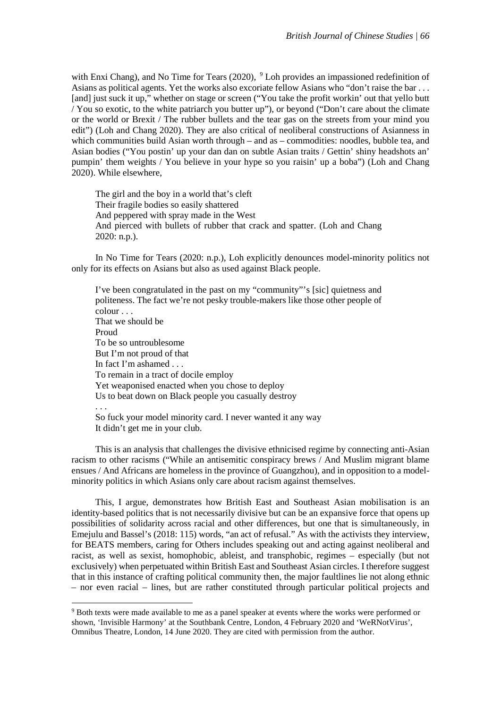with Enxi Chang), and No Time for Tears (2020),  $9$  Loh provides an impassioned redefinition of Asians as political agents. Yet the works also excoriate fellow Asians who "don't raise the bar . . . [and] just suck it up," whether on stage or screen ("You take the profit workin' out that yello butt / You so exotic, to the white patriarch you butter up"), or beyond ("Don't care about the climate or the world or Brexit / The rubber bullets and the tear gas on the streets from your mind you edit") (Loh and Chang 2020). They are also critical of neoliberal constructions of Asianness in which communities build Asian worth through – and as – commodities: noodles, bubble tea, and Asian bodies ("You postin' up your dan dan on subtle Asian traits / Gettin' shiny headshots an' pumpin' them weights / You believe in your hype so you raisin' up a boba") (Loh and Chang 2020). While elsewhere,

The girl and the boy in a world that's cleft Their fragile bodies so easily shattered And peppered with spray made in the West And pierced with bullets of rubber that crack and spatter. (Loh and Chang 2020: n.p.).

In No Time for Tears (2020: n.p.), Loh explicitly denounces model-minority politics not only for its effects on Asians but also as used against Black people.

I've been congratulated in the past on my "community"'s [sic] quietness and politeness. The fact we're not pesky trouble-makers like those other people of colour . . . That we should be Proud To be so untroublesome But I'm not proud of that In fact I'm ashamed . . . To remain in a tract of docile employ Yet weaponised enacted when you chose to deploy Us to beat down on Black people you casually destroy . . . So fuck your model minority card. I never wanted it any way

It didn't get me in your club.

1

This is an analysis that challenges the divisive ethnicised regime by connecting anti-Asian racism to other racisms ("While an antisemitic conspiracy brews / And Muslim migrant blame ensues / And Africans are homeless in the province of Guangzhou), and in opposition to a modelminority politics in which Asians only care about racism against themselves.

This, I argue, demonstrates how British East and Southeast Asian mobilisation is an identity-based politics that is not necessarily divisive but can be an expansive force that opens up possibilities of solidarity across racial and other differences, but one that is simultaneously, in Emejulu and Bassel's (2018: 115) words, "an act of refusal." As with the activists they interview, for BEATS members, caring for Others includes speaking out and acting against neoliberal and racist, as well as sexist, homophobic, ableist, and transphobic, regimes – especially (but not exclusively) when perpetuated within British East and Southeast Asian circles. I therefore suggest that in this instance of crafting political community then, the major faultlines lie not along ethnic – nor even racial – lines, but are rather constituted through particular political projects and

<span id="page-13-0"></span><sup>9</sup> Both texts were made available to me as a panel speaker at events where the works were performed or shown, 'Invisible Harmony' at the Southbank Centre, London, 4 February 2020 and 'WeRNotVirus', Omnibus Theatre, London, 14 June 2020. They are cited with permission from the author.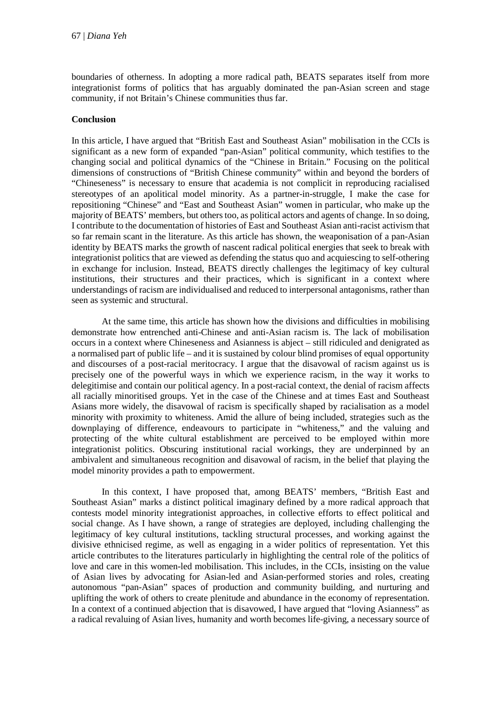boundaries of otherness. In adopting a more radical path, BEATS separates itself from more integrationist forms of politics that has arguably dominated the pan-Asian screen and stage community, if not Britain's Chinese communities thus far.

# **Conclusion**

In this article, I have argued that "British East and Southeast Asian" mobilisation in the CCIs is significant as a new form of expanded "pan-Asian" political community, which testifies to the changing social and political dynamics of the "Chinese in Britain." Focusing on the political dimensions of constructions of "British Chinese community" within and beyond the borders of "Chineseness" is necessary to ensure that academia is not complicit in reproducing racialised stereotypes of an apolitical model minority. As a partner-in-struggle, I make the case for repositioning "Chinese" and "East and Southeast Asian" women in particular, who make up the majority of BEATS' members, but others too, as political actors and agents of change. In so doing, I contribute to the documentation of histories of East and Southeast Asian anti-racist activism that so far remain scant in the literature. As this article has shown, the weaponisation of a pan-Asian identity by BEATS marks the growth of nascent radical political energies that seek to break with integrationist politics that are viewed as defending the status quo and acquiescing to self-othering in exchange for inclusion. Instead, BEATS directly challenges the legitimacy of key cultural institutions, their structures and their practices, which is significant in a context where understandings of racism are individualised and reduced to interpersonal antagonisms, rather than seen as systemic and structural.

At the same time, this article has shown how the divisions and difficulties in mobilising demonstrate how entrenched anti-Chinese and anti-Asian racism is. The lack of mobilisation occurs in a context where Chineseness and Asianness is abject – still ridiculed and denigrated as a normalised part of public life – and it is sustained by colour blind promises of equal opportunity and discourses of a post-racial meritocracy. I argue that the disavowal of racism against us is precisely one of the powerful ways in which we experience racism, in the way it works to delegitimise and contain our political agency. In a post-racial context, the denial of racism affects all racially minoritised groups. Yet in the case of the Chinese and at times East and Southeast Asians more widely, the disavowal of racism is specifically shaped by racialisation as a model minority with proximity to whiteness. Amid the allure of being included, strategies such as the downplaying of difference, endeavours to participate in "whiteness," and the valuing and protecting of the white cultural establishment are perceived to be employed within more integrationist politics. Obscuring institutional racial workings, they are underpinned by an ambivalent and simultaneous recognition and disavowal of racism, in the belief that playing the model minority provides a path to empowerment.

In this context, I have proposed that, among BEATS' members, "British East and Southeast Asian" marks a distinct political imaginary defined by a more radical approach that contests model minority integrationist approaches, in collective efforts to effect political and social change. As I have shown, a range of strategies are deployed, including challenging the legitimacy of key cultural institutions, tackling structural processes, and working against the divisive ethnicised regime, as well as engaging in a wider politics of representation. Yet this article contributes to the literatures particularly in highlighting the central role of the politics of love and care in this women-led mobilisation. This includes, in the CCIs, insisting on the value of Asian lives by advocating for Asian-led and Asian-performed stories and roles, creating autonomous "pan-Asian" spaces of production and community building, and nurturing and uplifting the work of others to create plenitude and abundance in the economy of representation. In a context of a continued abjection that is disavowed, I have argued that "loving Asianness" as a radical revaluing of Asian lives, humanity and worth becomes life-giving, a necessary source of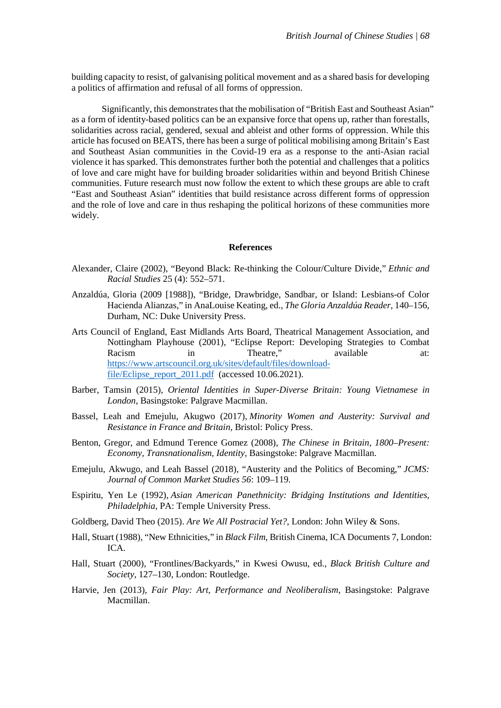building capacity to resist, of galvanising political movement and as a shared basis for developing a politics of affirmation and refusal of all forms of oppression.

Significantly, this demonstrates that the mobilisation of "British East and Southeast Asian" as a form of identity-based politics can be an expansive force that opens up, rather than forestalls, solidarities across racial, gendered, sexual and ableist and other forms of oppression. While this article has focused on BEATS, there has been a surge of political mobilising among Britain's East and Southeast Asian communities in the Covid-19 era as a response to the anti-Asian racial violence it has sparked. This demonstrates further both the potential and challenges that a politics of love and care might have for building broader solidarities within and beyond British Chinese communities. Future research must now follow the extent to which these groups are able to craft "East and Southeast Asian" identities that build resistance across different forms of oppression and the role of love and care in thus reshaping the political horizons of these communities more widely.

#### **References**

- Alexander, Claire (2002), "Beyond Black: Re-thinking the Colour/Culture Divide," *Ethnic and Racial Studies* 25 (4): 552–571.
- Anzaldúa, Gloria (2009 [1988]), "Bridge, Drawbridge, Sandbar, or Island: Lesbians-of Color Hacienda Alianzas," in AnaLouise Keating, ed., *The Gloria Anzaldúa Reader*, 140–156, Durham, NC: Duke University Press.
- Arts Council of England, East Midlands Arts Board, Theatrical Management Association, and Nottingham Playhouse (2001), "Eclipse Report: Developing Strategies to Combat Racism in Theatre," available at: [https://www.artscouncil.org.uk/sites/default/files/download](https://www.artscouncil.org.uk/sites/default/files/download-file/Eclipse_report_2011.pdf)[file/Eclipse\\_report\\_2011.pdf](https://www.artscouncil.org.uk/sites/default/files/download-file/Eclipse_report_2011.pdf) (accessed 10.06.2021).
- Barber, Tamsin (2015), *Oriental Identities in Super-Diverse Britain: Young Vietnamese in London*, Basingstoke: Palgrave Macmillan.
- Bassel, Leah and Emejulu, Akugwo (2017), *Minority Women and Austerity: Survival and Resistance in France and Britain,* Bristol: Policy Press.
- Benton, Gregor, and Edmund Terence Gomez (2008), *The Chinese in Britain, 1800–Present: Economy, Transnationalism, Identity*, Basingstoke: Palgrave Macmillan.
- Emejulu, Akwugo, and Leah Bassel (2018), "Austerity and the Politics of Becoming," *JCMS: Journal of Common Market Studies 56*: 109–119.
- Espiritu, Yen Le (1992), *Asian American Panethnicity: Bridging Institutions and Identities, Philadelphia*, PA: Temple University Press.
- Goldberg, David Theo (2015). *Are We All Postracial Yet?,* London: John Wiley & Sons.
- Hall, Stuart (1988), "New Ethnicities," in *Black Film,* British Cinema, ICA Documents 7, London: ICA.
- Hall, Stuart (2000), "Frontlines/Backyards," in Kwesi Owusu, ed., *Black British Culture and Society*, 127–130, London: Routledge.
- Harvie, Jen (2013), *Fair Play: Art, Performance and Neoliberalism*, Basingstoke: Palgrave Macmillan.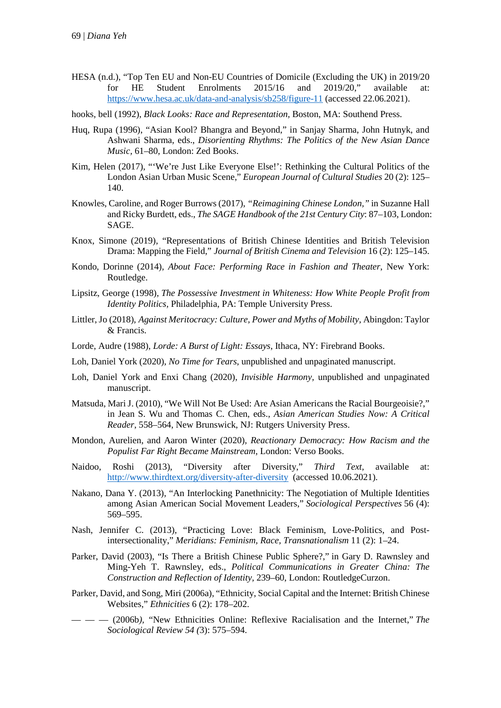HESA (n.d.), "Top Ten EU and Non-EU Countries of Domicile (Excluding the UK) in 2019/20 for HE Student Enrolments 2015/16 and 2019/20," available at: <https://www.hesa.ac.uk/data-and-analysis/sb258/figure-11> (accessed 22.06.2021).

hooks, bell (1992), *Black Looks: Race and Representation,* Boston, MA: Southend Press.

- Huq, Rupa (1996), "Asian Kool? Bhangra and Beyond," in Sanjay Sharma, John Hutnyk, and Ashwani Sharma, eds., *Disorienting Rhythms: The Politics of the New Asian Dance Music,* 61–80, London: Zed Books.
- Kim, Helen (2017), "'We're Just Like Everyone Else!': Rethinking the Cultural Politics of the London Asian Urban Music Scene," *European Journal of Cultural Studies* 20 (2): 125– 140.
- Knowles, Caroline, and Roger Burrows (2017), *"Reimagining Chinese London,"* in Suzanne Hall and Ricky Burdett, eds., *The SAGE Handbook of the 21st Century City*: 87–103, London: SAGE.
- Knox, Simone (2019), "Representations of British Chinese Identities and British Television Drama: Mapping the Field," *Journal of British Cinema and Television* 16 (2): 125–145.
- Kondo, Dorinne (2014), *About Face: Performing Race in Fashion and Theater*, New York: Routledge.
- Lipsitz, George (1998), *The Possessive Investment in Whiteness: How White People Profit from Identity Politics,* Philadelphia, PA: Temple University Press.
- Littler, Jo (2018), *Against Meritocracy: Culture, Power and Myths of Mobility,* Abingdon: Taylor & Francis.
- Lorde, Audre (1988), *Lorde: A Burst of Light: Essays*, Ithaca, NY: Firebrand Books.
- Loh, Daniel York (2020), *No Time for Tears*, unpublished and unpaginated manuscript.
- Loh, Daniel York and Enxi Chang (2020), *Invisible Harmony,* unpublished and unpaginated manuscript.
- Matsuda, Mari J. (2010), "We Will Not Be Used: Are Asian Americans the Racial Bourgeoisie?," in Jean S. Wu and Thomas C. Chen, eds., *Asian American Studies Now: A Critical Reader*, 558–564, New Brunswick, NJ: Rutgers University Press.
- Mondon, Aurelien, and Aaron Winter (2020), *Reactionary Democracy: How Racism and the Populist Far Right Became Mainstream*, London: Verso Books.
- Naidoo, Roshi (2013), "Diversity after Diversity," *Third Text,* available at: <http://www.thirdtext.org/diversity-after-diversity>(accessed 10.06.2021).
- Nakano, Dana Y. (2013), "An Interlocking Panethnicity: The Negotiation of Multiple Identities among Asian American Social Movement Leaders," *Sociological Perspectives* 56 (4): 569–595.
- Nash, Jennifer C. (2013), "Practicing Love: Black Feminism, Love-Politics, and Postintersectionality," *Meridians: Feminism, Race, Transnationalism* 11 (2): 1–24.
- Parker, David (2003), "Is There a British Chinese Public Sphere?," in Gary D. Rawnsley and Ming-Yeh T. Rawnsley, eds., *Political Communications in Greater China: The Construction and Reflection of Identity,* 239–60, London: RoutledgeCurzon.
- Parker, David, and Song, Miri (2006a), "Ethnicity, Social Capital and the Internet: British Chinese Websites," *Ethnicities* 6 (2): 178–202.
- — (2006b*),* "New Ethnicities Online: Reflexive Racialisation and the Internet," *The Sociological Review 54 (*3): 575–594.